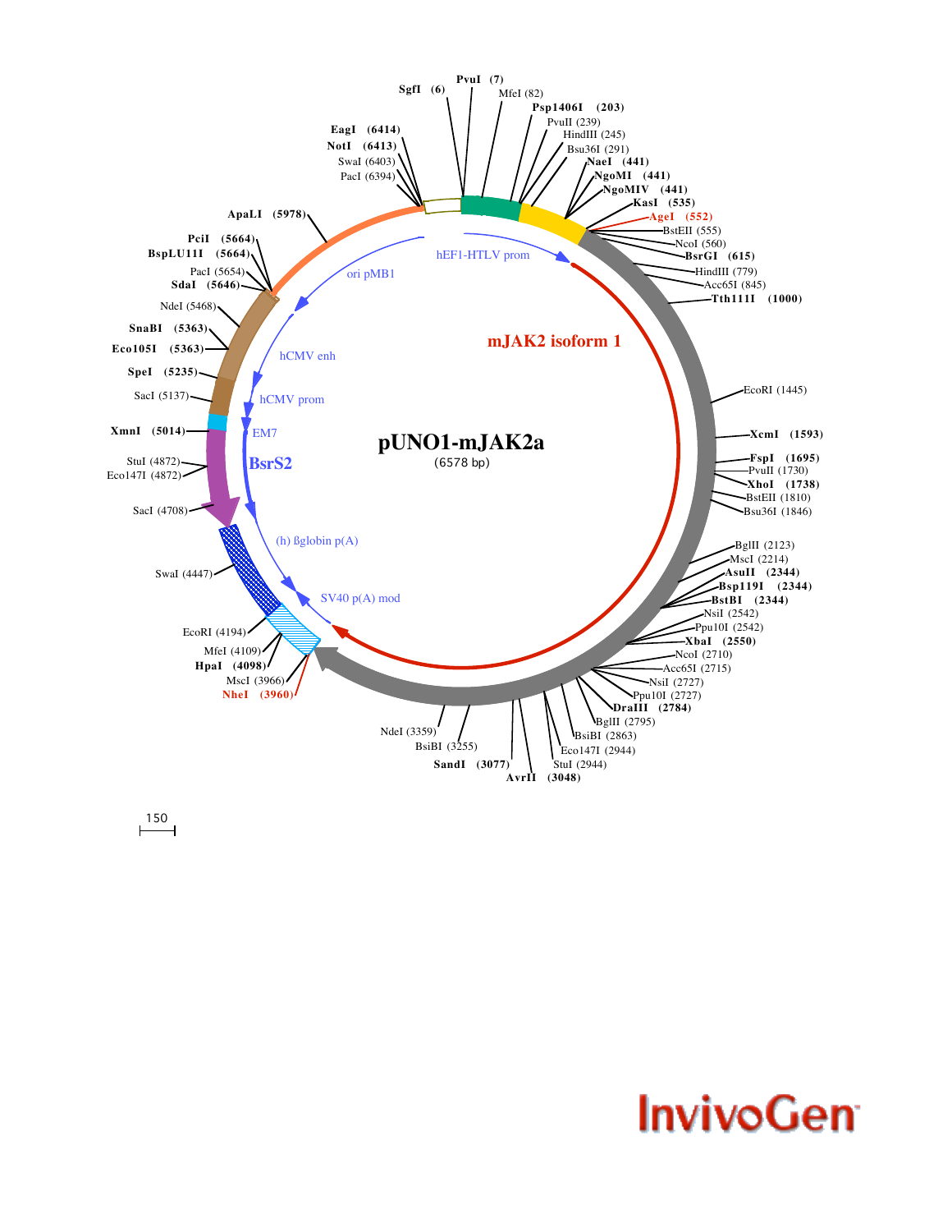

 $150$ 

## **InvivoGen**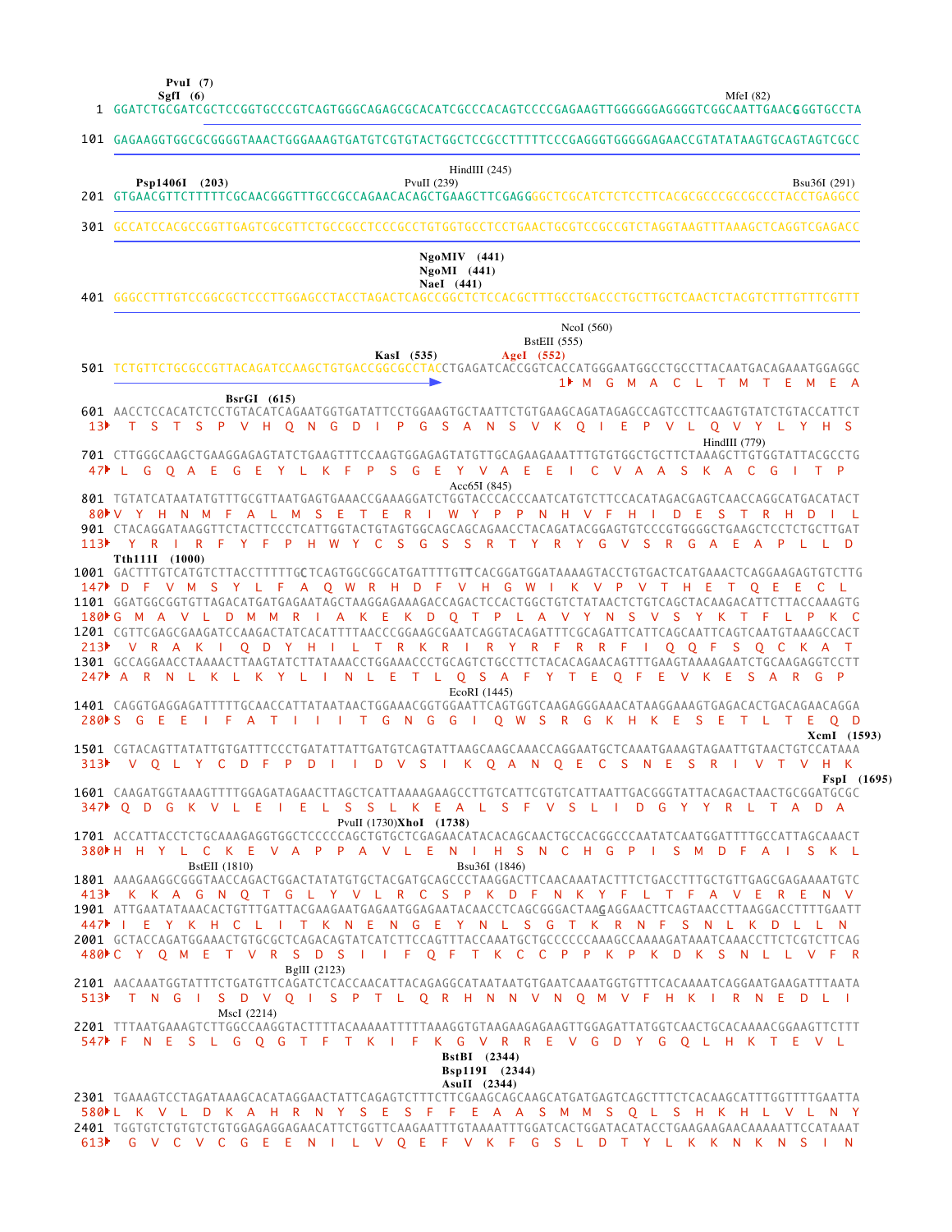|                  | PvuI $(7)$<br>SgfI $(6)$<br>MfeI $(82)$                                                                                                                                                                                                                                                                                                                                                                                                                                                                                                                                                                                                                                                                                                                               |
|------------------|-----------------------------------------------------------------------------------------------------------------------------------------------------------------------------------------------------------------------------------------------------------------------------------------------------------------------------------------------------------------------------------------------------------------------------------------------------------------------------------------------------------------------------------------------------------------------------------------------------------------------------------------------------------------------------------------------------------------------------------------------------------------------|
|                  | 1 GGATCTGCGATCGCTCCGGTGCCCGTCAGTGGGCAGAGCGCACATCGCCCACAGTCCCCGAGAAGTTGGGGGGAGGGGTCGGCAATTGAACGGGTGCCTA                                                                                                                                                                                                                                                                                                                                                                                                                                                                                                                                                                                                                                                                |
|                  | 101 GAGAAGGTGGCGCGGGGTAAACTGGGAAAGTGATGTCGTGTACTGGCTCCGCCTTTTTCCCGAGGGTGGGGGAACCGTATATAAGTGCAGTAGTCGCC                                                                                                                                                                                                                                                                                                                                                                                                                                                                                                                                                                                                                                                                |
|                  | HindIII $(245)$<br>Psp1406I (203)<br>PvuII $(239)$<br>Bsu36I (291)                                                                                                                                                                                                                                                                                                                                                                                                                                                                                                                                                                                                                                                                                                    |
|                  | 301 GCCATCCACGCCGGTTGAGTCGCGTTCTGCCGCCTCCCGCCTGTGGTGCCTCCTGAACTGCGTCCGCCGTCTAAGTATTTAAAGCTCAGGTCGAGACC                                                                                                                                                                                                                                                                                                                                                                                                                                                                                                                                                                                                                                                                |
|                  | $NgoMIV$ (441)<br>$NgoMI$ (441)<br>NaeI (441)<br>401 GGGCCTTTGTCCGGCGCTCCCTTGGAGCCTACCTAGACTCAGCCGGCTCTCCACGCTTTGCCTGACCCTGCTCCAACTCTACGTCTTTGTTTCGTTT                                                                                                                                                                                                                                                                                                                                                                                                                                                                                                                                                                                                                |
|                  | NcoI $(560)$<br><b>BstEII</b> (555)<br>AgeI (552)<br>KasI (535)<br>1▶ M<br>G M A C L<br>T M T F<br>MEA                                                                                                                                                                                                                                                                                                                                                                                                                                                                                                                                                                                                                                                                |
| 13 <sup>5</sup>  | BsrGI (615)<br>601 AACCTCCACATCTCCTGTACATCAGAATGGTGATATTCCTGGAAGTGCTAATTCTGTGAAGCAGATAGAGCCAGTCCTTCAAGTGTATCTGTACCATTCT<br>T S T S P V H O N G D I P G S A N S V K O I<br>- E<br>P V L Q V Y L Y H S                                                                                                                                                                                                                                                                                                                                                                                                                                                                                                                                                                  |
|                  | HindIII (779)<br>701 CTTGGGCAAGCTGAAGGAGAGTATCTGAAGTTTCCAAGTGGAGAGTATGTTGCAGAAGAAATTTGTGTGGCTGCTTCTAAAGCTTGTGGTATTACGCCTG<br>47 L G O A E G E Y L K F P S G E Y V A E E I C V A A S K A C G I T P<br>Acc65I(845)                                                                                                                                                                                                                                                                                                                                                                                                                                                                                                                                                      |
| 113 <sup>2</sup> | R<br>WYPPNH<br>V F<br>80 V Y H N M<br><b>A</b><br>- L.<br>- M<br>SE.<br>Ε.<br>- H<br>D<br>-E<br>- S<br>$\top$<br>R<br>- D<br>- 11<br>901 CTACAGGATAAGGTTCTACTTCCCTCATTGGTACTGTAGTGGCAGCAGCAGAACCTACAGATACGGAGTGTCCCGTGGGGCTGAAGCTCCTCTGCTTGAT<br>R F Y F P H W Y C S G<br>S S R T Y R Y G V S R G A E A P<br>YR I<br>$1 \quad 1 \quad D$                                                                                                                                                                                                                                                                                                                                                                                                                              |
| $147$ D          | Tth111I (1000)<br>1001 GACTTTGTCATGTCTTACCTTTTTG <b>C</b> TCAGTGGCGGCATGATTTTGTTCACGGATGGATAAAAGTACCTGTGACTCATGAAACTCAGGAAGAGTGTCTTG<br>-S<br>F A Q W R H D F V H G W I<br>- F<br>V M<br>$\mathbf{Y}$<br>-L.<br>K V P<br>$\top$<br>H.<br>T Q E<br>- E<br>$\mathbf{V}$<br>-E<br>- C<br>1101 GGATGGCGGTGTTAGACATGATGAGAATAGCTAAGGAGAAAGACCAGACTCCACTGGCTGTCTATAACTCTGTCAGCTACAAGACATTCTTACCAAAGTG<br>180 G M A V L D M M R I A K E K D Q T P L A V Y N S<br>$\mathsf{V}$<br>-S<br>Y<br>K<br>213 <sup>b</sup> V R A K I Q D Y H I L T R K R I R Y R F R R F I Q Q F S Q C K A T<br>1301 GCCAGGAACCTAAAACTTAAGTATCTTATAAACCTGGAAACCCTGCAGTCTGCCTTCTACACAGAACAGTTTGAAGTAAAAGAATCTGCAAGAGGTCCTT<br>247 A R N L K L K Y L I<br>N L E T L Q S A F Y T E Q F E V K E S A R G P |
|                  | EcoRI (1445)<br>1401 CAGGTGAGGAGATTTTTGCAACCATTATAATAACTGGAAACGGTGGAATTCAGTGGTCAAGAGGGAAACATAAGGAAAGTGAGACACTGACAGAACAGGA<br>280 S G E E I F A T I I I T G N G G I O W S R G K H K E S E T L T E O D<br>XcmI (1593)                                                                                                                                                                                                                                                                                                                                                                                                                                                                                                                                                   |
|                  | 313) VQLYCDFPDIIDVSIKQANQECSNESRIVTVHK                                                                                                                                                                                                                                                                                                                                                                                                                                                                                                                                                                                                                                                                                                                                |
|                  | FspI (1695)<br>1601 CAAGATGGTAAAGTTTTGGAGATAGAACTTAGCTCATTAAAAGAAGCCTTGTCATTCGTGTCATTAATTGACGGGTATTACAGACTAACTGCGGATGCGC<br>347 POD G K V L E I E L S S L K E A L S F V S L I D G Y Y R L T A D A<br>PvuII (1730)XhoI (1738)<br>1701 ACCATTACCTCTGCAAAGAGGTGGCTCCCCCAGCTGTGCTCGAGAACATACACAGCAACTGCCACGGCCCAATATCAATGGATTTTGCCATTAGCAAACT<br>380 H H Y L C K E V A P P A V L E N I H S N C H G P I S M D F A I S K L                                                                                                                                                                                                                                                                                                                                                  |
|                  | <b>BstEII</b> (1810)<br>Bsu36I (1846)<br>1801 AAAGAAGGCGGGTAACCAGACTGGACTATATGTGCTACGATGCAGCCCTAAGGACTTCAACAAATACTTTCTGACCTTTGCTGTTGAGCGAGAAAATGTC                                                                                                                                                                                                                                                                                                                                                                                                                                                                                                                                                                                                                    |

AAAGAAGGCGGGTAACCAGACTGGACTATATGTGCTACGATGCAGCCCTAAGGACTTCAACAAATACTTTCTGACCTTTGCTGTTGAGCGAGAAAATGTC ATTGAATATAAACACTGTTTGATTACGAAGAATGAGAATGGAGAATACAACCTCAGCGGGACTAAG AGGAACTTCAGTAACCTTAAGGACCTTTTGAATT 2001 GCTACCAGATGGAAACTGTGCGCTCAGACAGTATCATCTTCCAGTTTACCAAATGCTGCCCCCCAAAGCCAAAAGATAAATCAAACCTTCTCGTCTTCAG K K A G N Q T G L Y V L R C S P K D F N K Y F L T F A V E R E N V 447 PIE Y K H C L I T K N E N G E Y N L S G T K R N F S N L K D L L N 480PC Y Q M E T V R S D S I I F Q F T K C C P P K P K D K S N L L V F R BglII (2123) 1801 1901 413

2**101** AACAAATGGTATTTCTGATGTTCAGATCTCACCAACATTACAGAGGCATAATAATGTGAATCAAATGGTGTTTCACAAAATCAGGAATGAAGATTTAATA T N G I S D V Q I S P T L Q R H N N V N Q M V F H K I R N E D L I 513 MscI (2214)

2**201** TTTAATGAAAGTCTTGGCCAAGGTACTTTTACAAAAATTTTTAAAGGTGTAAGAAGAAGATGGAGATTATGGTCAACTGCACAAAACGGAAGTTCTTT F N E S L G Q G T F T K I F K G V R R E V G D Y G Q L H K T E V L 547

## **AsuII (2344) Bsp119I (2344) BstBI (2344)**

TGAAAGTCCTAGATAAAGCACATAGGAACTATTCAGAGTCTTTCTTCGAAGCAGCAAGCATGATGAGTCAGCTTTCTCACAAGCATTTGGTTTTGAATTA 2301 TGGTGTCTGTGTCTGTGGAGAGGAGAACATTCTGGTTCAAGAATTTGTAAAATTTGGATCACTGGATACATACCTGAAGAAGAACAAAAATTCCATAAAT 2401 580PL K V L D K A H R N Y S E S F F E A A S M M S Q L S H K H L V L N Y G V C V C G E E N I L V Q E F V K F G S L D T Y L K K N K N S I N 613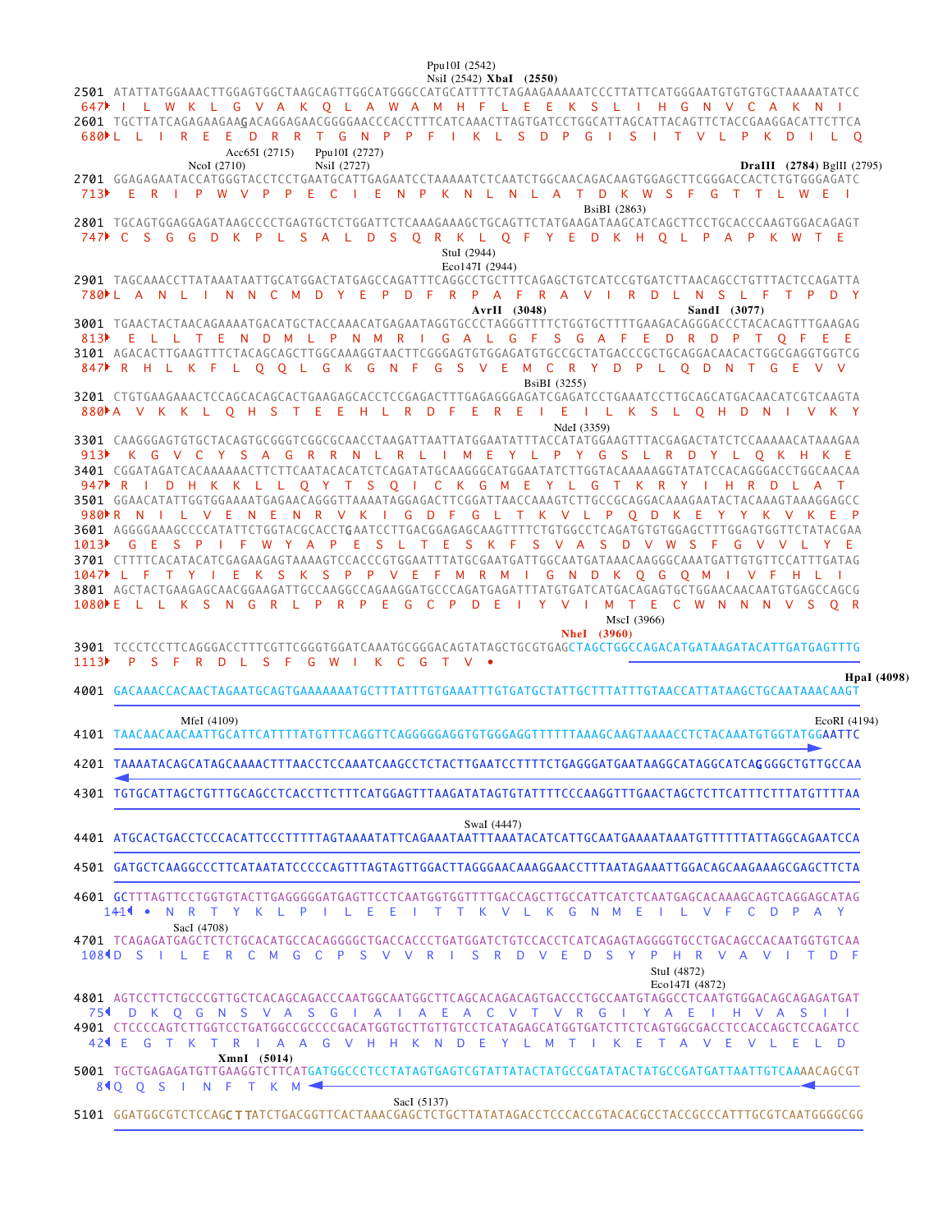| Nsil (2542) XbaI (2550)<br>647 I L W K L G V A K O L A W A M H F L E E K S L I H G N V C A K N I<br>2601 TGCTTATCAGAGAAGAAGACAGGAGAACGGGGAACCCACCTTTCATCAAACTTAGTGATCCTGGCATTAGCATTACAGTTCTACCGAAGGACATTCTTCA<br>680ML L I R E E D R R T G N P P F I K L S D P G I S I T V L P K D I L O<br>Ppu10I (2727)<br>Acc $65I(2715)$                                                                                                                                                                                                                                                                                                                                                                                                                                                                                                                                                                                                                                           |
|------------------------------------------------------------------------------------------------------------------------------------------------------------------------------------------------------------------------------------------------------------------------------------------------------------------------------------------------------------------------------------------------------------------------------------------------------------------------------------------------------------------------------------------------------------------------------------------------------------------------------------------------------------------------------------------------------------------------------------------------------------------------------------------------------------------------------------------------------------------------------------------------------------------------------------------------------------------------|
| NsiI (2727)<br>DraIII (2784) BglII (2795)<br>NcoI (2710)<br>2701 GGAGAGAATACCATGGGTACCTCCTGAATGCATTGAGAATCCTAAAAATCTCAATCTGGCAACAGACAAGTGGAGCTTCGGGACCACTCTGTGGGAGATC<br>E N P K N L N L A T D K W S F G T T L W E I<br>713 $\blacktriangleright$ ERIPW<br>V P<br>P.<br>E C I<br>BsiBI (2863)                                                                                                                                                                                                                                                                                                                                                                                                                                                                                                                                                                                                                                                                          |
| 747 CSGGD K P L S A L D S Q R K L Q F Y E D K H Q L P A P K W T E<br>StuI (2944)<br>Eco147I (2944)                                                                                                                                                                                                                                                                                                                                                                                                                                                                                                                                                                                                                                                                                                                                                                                                                                                                     |
| 2901 TAGCAAACCTTATAAATAATTGCATGGACTATGAGCCAGATTTCAGGCCTGCTTTCAGAGCTGTCATCCGTGATCTTAACAGCCTGTTTACTCCAGATTA<br>780 LANLINN CM DY EP DF R P A F R A V I R D L N S L F T P D Y<br>AvrII (3048)<br>SandI (3077)                                                                                                                                                                                                                                                                                                                                                                                                                                                                                                                                                                                                                                                                                                                                                             |
| 3001 TGAACTACTAACAGAAAATGACATGCTACCAAACATGAGAATAGGTGCCCTAGGGTTTTCTGGTGCTTTTGAAGACAGGGACCCTACACAGTTTGAAGAG<br>813 E L L T E N D M L P N M R I G A L G F S G A F E D R D P T O F E E<br>3101 AGACACTTGAAGTTTCTACAGCAGCTTGGCAAAGGTAACTTCGGGAGTGTGGAGATGTGCCGCTATGACCCGCTGCAGGACAACACTGGCGAGGTGGTCG<br>847 RHL KFL OOL GK GNF GS VE MC RY DPL OD NT GE V V<br>BsiBI (3255)                                                                                                                                                                                                                                                                                                                                                                                                                                                                                                                                                                                                 |
| 3201 CTGTGAAGAAACTCCAGCACAGCACTGAAGAGCACCTCCGAGACTTTGAGAGGGAGATCGAGATCCTGAAATCCTTGCAGCATGACAACATCGTCAAGTA<br>880MA V K K L O H S T E E H L R D F E R E I E I L K S L O H D N I V K Y<br>NdeI (3359)                                                                                                                                                                                                                                                                                                                                                                                                                                                                                                                                                                                                                                                                                                                                                                    |
| 913 K G V C Y S A G R R N L R L I M E Y L P Y G S L R D Y L O K H K E<br>3401 CGGATAGATCACAAAAAACTTCTTCAATACACATCTCAGATATGCAAGGGCATGGAATATCTTGGTACAAAAAGGTATATCCACAGGGACCTGGCAACAA<br>947 RIDHKKLL OYTS OICK GMEYL GTKRYIHRDLAT<br>3501 GGAACATATTGGTGGAAAATGAGAACAGGGTTAAAATAGGAGACTTCGGATTAACCAAAGTCTTGCCGCAGGACAAAGAATACTACAAAGTAAAGGAGCC<br>980 R N I L V E N E N R V K I G D F G L T K V L P O D K E Y Y K V K E<br>3601 AGGGGAAAGCCCCATATTCTGGTACGCACCTGAATCCTTGACGGAGAGCAAGTTTTCTGTGGCCTCAGATGTGTGGAGCTTTGGAGTGGTTCTATACGAA<br>1013 CESPI FW Y A PESL T E SK F S V A S D V W S F G V V L Y E<br>3701 CTTTTCACATACATCGAGAAGAGTAAAAGTCCACCCGTGGAATTTATGCGAATGATTGGCAATGATAAACAAGGGCAAATGATTGTGTTCCATTTGATAG<br>1047 LFTYIEK SKSPP VEFMRMIGN DKOGOMI VFHLI<br>3801 AGCTACTGAAGAGCAACGGAAGATTGCCAAGGCCAGAAGGATGCCCAGATGAGATTTATGTGATCATGACAGAGTGCTGGAACAACAATGTGAGCCAGCG<br>1080ME L L K S N G R L P R P E G C P D E I Y V I M T E C W N N N V S O R<br>MscI (3966) |
|                                                                                                                                                                                                                                                                                                                                                                                                                                                                                                                                                                                                                                                                                                                                                                                                                                                                                                                                                                        |
| <b>NheI</b> (3960)<br>1113 PSFRDLSFGWIKCGTV.                                                                                                                                                                                                                                                                                                                                                                                                                                                                                                                                                                                                                                                                                                                                                                                                                                                                                                                           |
| HpaI (4098)<br>4001 GACAAACCACAACTAGAATGCAGTGAAAAAAATGCTTTATTTGTGAAATTTGTGATGCTATTGCTTTATTTGTAACCATTATAAGCTGCAATAAACAAGT                                                                                                                                                                                                                                                                                                                                                                                                                                                                                                                                                                                                                                                                                                                                                                                                                                               |
| MfeI (4109)<br>EcoRI (4194)                                                                                                                                                                                                                                                                                                                                                                                                                                                                                                                                                                                                                                                                                                                                                                                                                                                                                                                                            |
| 4201 TAAAATACAGCATAGCAAAACTTTAACCTCCAAATCAAGCCTCTACTTGAATCCTTTTCTGAGGGATGAATAAGGCATAGGCATCAGGGGCTGTTGCCAA                                                                                                                                                                                                                                                                                                                                                                                                                                                                                                                                                                                                                                                                                                                                                                                                                                                              |
| 4301 TGTGCATTAGCTGTTTGCAGCCTCACCTTCTTTCATGGAGTTTAAGATATAGTGTATTTTCCCAAGGTTTGAACTAGCTCTTCATTTCTTTATGTTTTAA                                                                                                                                                                                                                                                                                                                                                                                                                                                                                                                                                                                                                                                                                                                                                                                                                                                              |
| SwaI (4447)                                                                                                                                                                                                                                                                                                                                                                                                                                                                                                                                                                                                                                                                                                                                                                                                                                                                                                                                                            |
| 4501 GATGCTCAAGGCCCTTCATAATATCCCCCAGTTTAGTAGTTGGACTTAGGGAACAAAGGAACCTTTAATAGAAATTGGACAGCAAGAAAGCGAGCTTCTA                                                                                                                                                                                                                                                                                                                                                                                                                                                                                                                                                                                                                                                                                                                                                                                                                                                              |
| 4601 GCTTTAGTTCCTGGTGTACTTGAGGGGGATGAGTTCCTCAATGGTGGTTTTGACCAGCTTGCCATTCATCTCAATGAGCACAAAGCAGTCAGGAGCATAG<br>1414 • NRTYKLPILEEITTKVLKGNME<br>I L V F C D P A Y                                                                                                                                                                                                                                                                                                                                                                                                                                                                                                                                                                                                                                                                                                                                                                                                        |
| SacI (4708)<br>4701 TCAGAGATGAGCTCTCTGCACATGCCACAGGGGCTGACCACCCTGATGGATCTGTCCACCTCATCAGAGTAGGGGTGCCTGACAGCCACAATGGTGTCAA<br>108 ID SILERCM GCP SV V RISRD V ED SYPHRVAVITD F<br>StuI (4872)<br>Eco147I (4872)<br>75 CD K Q G N S V A S G I A I A E A C V T V R G I Y A E I H V A S I I<br>4901 CTCCCCAGTCTTGGTCCTGATGGCCGCCCCGACATGGTGCTTGTTGTCCTCATAGAGCATGGTGATCTTCTCAGTGGCGACCTCCACCAGCTCCAGATCC<br>421 E G T K T R I A A G V H H K N D E Y L M T I K E T A V E V L E L D                                                                                                                                                                                                                                                                                                                                                                                                                                                                                           |
| XmnI (5014)<br>5001 TGCTGAGAGATGTTGAAGGTCTTCATGATGGCCCTCCTATAGTGAGTCGTATTATACTATGCCGATATACTATGCCGATGATTAATTGTCAAAACAGCGT<br>840 0 S I N F T K M <                                                                                                                                                                                                                                                                                                                                                                                                                                                                                                                                                                                                                                                                                                                                                                                                                      |